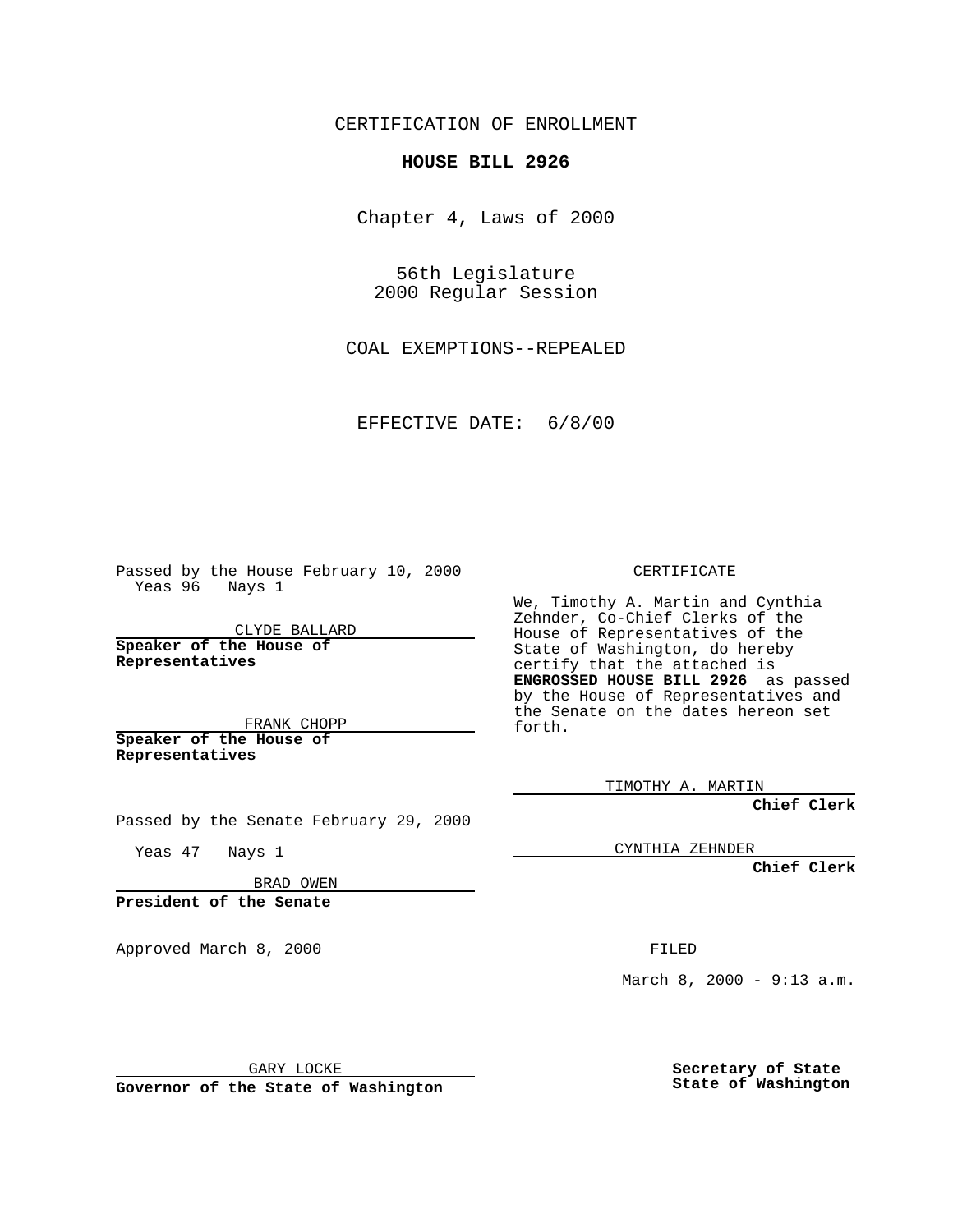CERTIFICATION OF ENROLLMENT

## **HOUSE BILL 2926**

Chapter 4, Laws of 2000

56th Legislature 2000 Regular Session

COAL EXEMPTIONS--REPEALED

EFFECTIVE DATE: 6/8/00

Passed by the House February 10, 2000 Yeas 96 Nays 1

CLYDE BALLARD **Speaker of the House of Representatives**

FRANK CHOPP **Speaker of the House of Representatives**

Passed by the Senate February 29, 2000

Yeas 47 Nays 1

BRAD OWEN

**President of the Senate**

Approved March 8, 2000 FILED

GARY LOCKE

**Governor of the State of Washington**

CERTIFICATE

We, Timothy A. Martin and Cynthia Zehnder, Co-Chief Clerks of the House of Representatives of the State of Washington, do hereby certify that the attached is **ENGROSSED HOUSE BILL 2926** as passed by the House of Representatives and the Senate on the dates hereon set forth.

TIMOTHY A. MARTIN

**Chief Clerk**

CYNTHIA ZEHNDER

**Chief Clerk**

March 8, 2000 - 9:13 a.m.

**Secretary of State State of Washington**